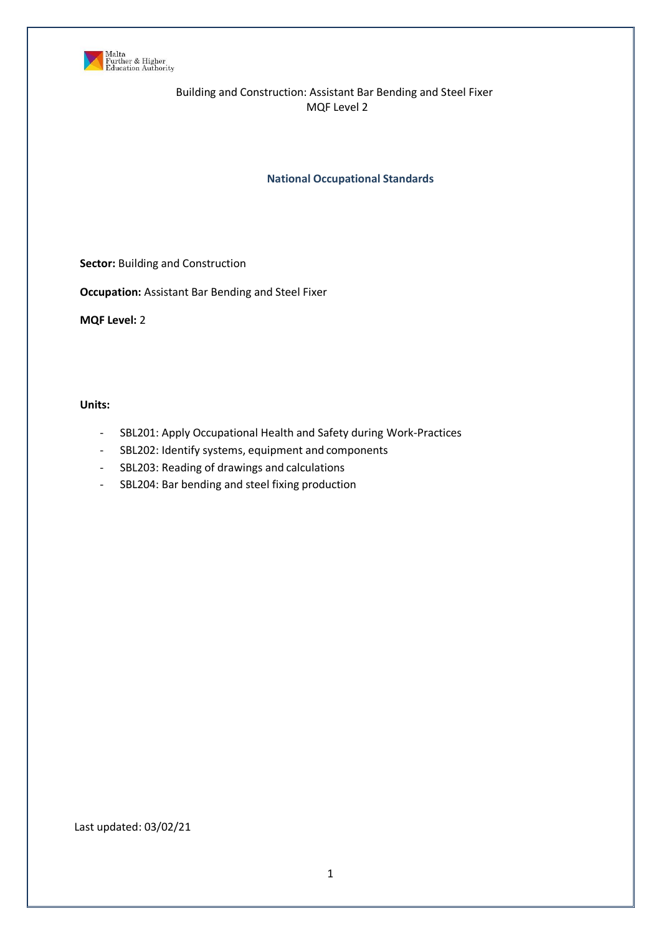

**National Occupational Standards**

**Sector: Building and Construction** 

**Occupation:** Assistant Bar Bending and Steel Fixer

**MQF Level:** 2

**Units:**

- SBL201: Apply Occupational Health and Safety during Work-Practices
- SBL202: Identify systems, equipment and components
- SBL203: Reading of drawings and calculations
- SBL204: Bar bending and steel fixing production

Last updated: 03/02/21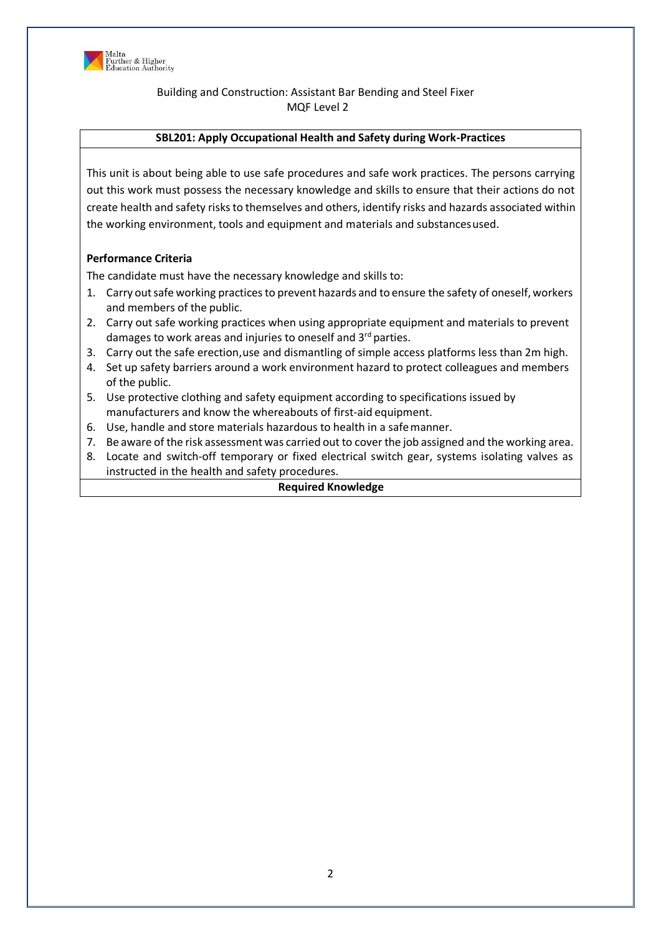

# **SBL201: Apply Occupational Health and Safety during Work-Practices**

This unit is about being able to use safe procedures and safe work practices. The persons carrying out this work must possess the necessary knowledge and skills to ensure that their actions do not create health and safety risks to themselves and others, identify risks and hazards associated within the working environment, tools and equipment and materials and substancesused.

### **Performance Criteria**

The candidate must have the necessary knowledge and skills to:

- 1. Carry out safe working practices to prevent hazards and to ensure the safety of oneself, workers and members of the public.
- 2. Carry out safe working practices when using appropriate equipment and materials to prevent damages to work areas and injuries to oneself and 3<sup>rd</sup> parties.
- 3. Carry out the safe erection,use and dismantling of simple access platforms less than 2m high.
- 4. Set up safety barriers around a work environment hazard to protect colleagues and members of the public.
- 5. Use protective clothing and safety equipment according to specifications issued by manufacturers and know the whereabouts of first-aid equipment.
- 6. Use, handle and store materials hazardous to health in a safemanner.
- 7. Be aware of the risk assessment was carried out to cover the job assigned and the working area.
- 8. Locate and switch-off temporary or fixed electrical switch gear, systems isolating valves as instructed in the health and safety procedures.

### **Required Knowledge**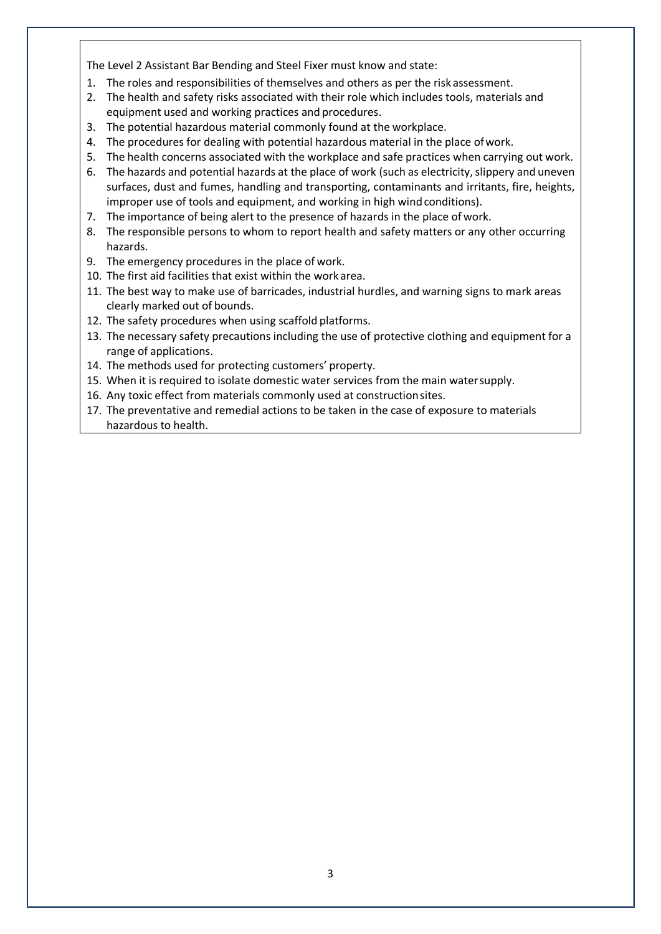The Level 2 Assistant Bar Bending and Steel Fixer must know and state:

- 1. The roles and responsibilities of themselves and others as per the risk assessment.
- 2. The health and safety risks associated with their role which includes tools, materials and equipment used and working practices and procedures.
- 3. The potential hazardous material commonly found at the workplace.
- 4. The procedures for dealing with potential hazardous material in the place ofwork.
- 5. The health concerns associated with the workplace and safe practices when carrying out work.
- 6. The hazards and potential hazards at the place of work (such as electricity, slippery and uneven surfaces, dust and fumes, handling and transporting, contaminants and irritants, fire, heights, improper use of tools and equipment, and working in high wind conditions).
- 7. The importance of being alert to the presence of hazards in the place of work.
- 8. The responsible persons to whom to report health and safety matters or any other occurring hazards.
- 9. The emergency procedures in the place of work.
- 10. The first aid facilities that exist within the work area.
- 11. The best way to make use of barricades, industrial hurdles, and warning signs to mark areas clearly marked out of bounds.
- 12. The safety procedures when using scaffold platforms.
- 13. The necessary safety precautions including the use of protective clothing and equipment for a range of applications.
- 14. The methods used for protecting customers' property.
- 15. When it is required to isolate domestic water services from the main watersupply.
- 16. Any toxic effect from materials commonly used at constructionsites.
- 17. The preventative and remedial actions to be taken in the case of exposure to materials hazardous to health.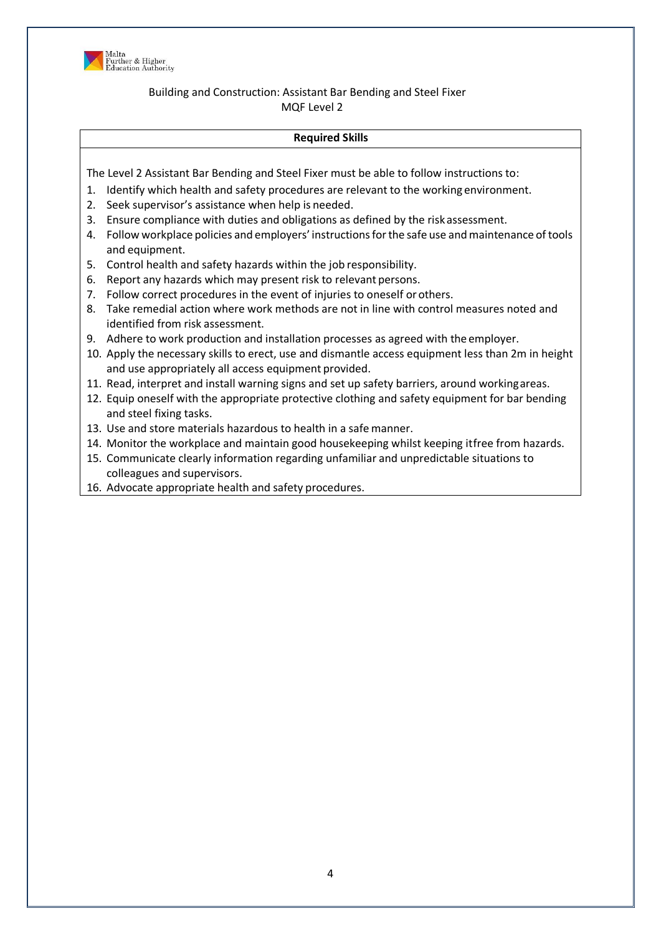

# **Required Skills**

- 1. Identify which health and safety procedures are relevant to the working environment.
- 2. Seek supervisor's assistance when help is needed.
- 3. Ensure compliance with duties and obligations as defined by the risk assessment.
- 4. Follow workplace policies and employers' instructionsforthe safe use andmaintenance of tools and equipment.
- 5. Control health and safety hazards within the job responsibility.
- 6. Report any hazards which may present risk to relevant persons.
- 7. Follow correct procedures in the event of injuries to oneself orothers.
- 8. Take remedial action where work methods are not in line with control measures noted and identified from risk assessment.
- 9. Adhere to work production and installation processes as agreed with the employer.
- 10. Apply the necessary skills to erect, use and dismantle access equipment less than 2m in height and use appropriately all access equipment provided.
- 11. Read, interpret and install warning signs and set up safety barriers, around workingareas.
- 12. Equip oneself with the appropriate protective clothing and safety equipment for bar bending and steel fixing tasks.
- 13. Use and store materials hazardous to health in a safe manner.
- 14. Monitor the workplace and maintain good housekeeping whilst keeping itfree from hazards.
- 15. Communicate clearly information regarding unfamiliar and unpredictable situations to colleagues and supervisors.
- 16. Advocate appropriate health and safety procedures.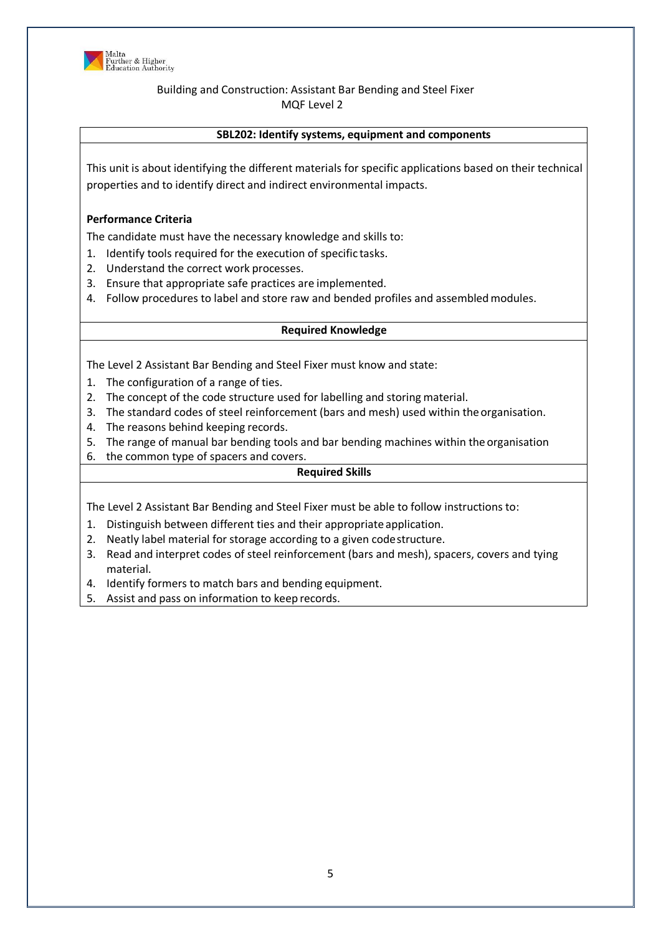

### **SBL202: Identify systems, equipment and components**

This unit is about identifying the different materials for specific applications based on their technical properties and to identify direct and indirect environmental impacts.

### **Performance Criteria**

The candidate must have the necessary knowledge and skills to:

- 1. Identify tools required for the execution of specific tasks.
- 2. Understand the correct work processes.
- 3. Ensure that appropriate safe practices are implemented.
- 4. Follow procedures to label and store raw and bended profiles and assembledmodules.

### **Required Knowledge**

The Level 2 Assistant Bar Bending and Steel Fixer must know and state:

- 1. The configuration of a range of ties.
- 2. The concept of the code structure used for labelling and storing material.
- 3. The standard codes of steel reinforcement (bars and mesh) used within the organisation.
- 4. The reasons behind keeping records.
- 5. The range of manual bar bending tools and bar bending machines within the organisation
- 6. the common type of spacers and covers.

# **Required Skills**

- 1. Distinguish between different ties and their appropriate application.
- 2. Neatly label material for storage according to a given codestructure.
- 3. Read and interpret codes of steel reinforcement (bars and mesh), spacers, covers and tying material.
- 4. Identify formers to match bars and bending equipment.
- 5. Assist and pass on information to keep records.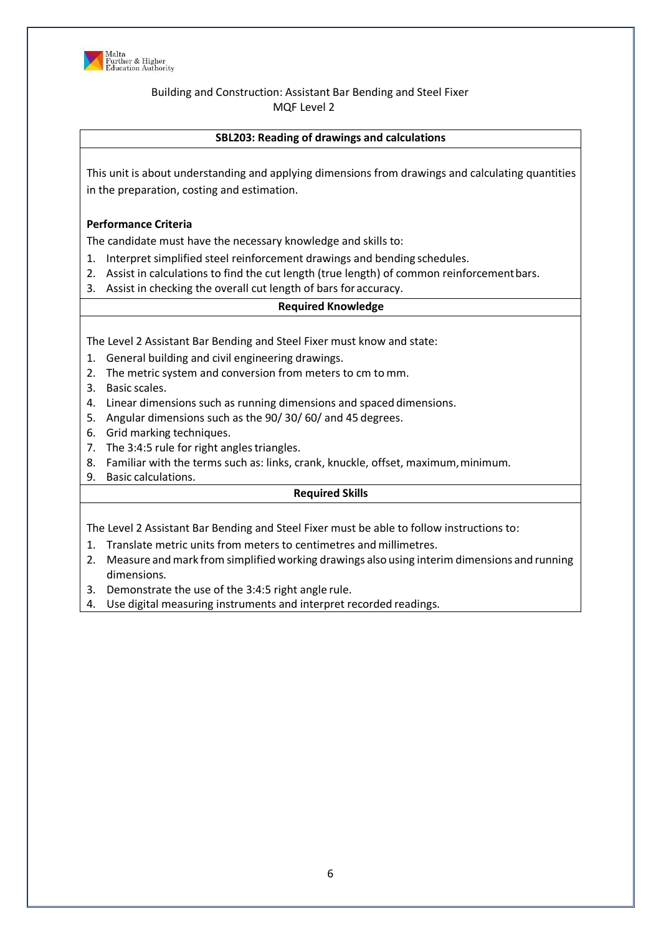

# **SBL203: Reading of drawings and calculations**

This unit is about understanding and applying dimensions from drawings and calculating quantities in the preparation, costing and estimation.

### **Performance Criteria**

The candidate must have the necessary knowledge and skills to:

- 1. Interpret simplified steel reinforcement drawings and bending schedules.
- 2. Assist in calculations to find the cut length (true length) of common reinforcementbars.
- 3. Assist in checking the overall cut length of bars for accuracy.

### **Required Knowledge**

The Level 2 Assistant Bar Bending and Steel Fixer must know and state:

- 1. General building and civil engineering drawings.
- 2. The metric system and conversion from meters to cm tomm.
- 3. Basic scales.
- 4. Linear dimensions such as running dimensions and spaced dimensions.
- 5. Angular dimensions such as the 90/ 30/ 60/ and 45 degrees.
- 6. Grid marking techniques.
- 7. The 3:4:5 rule for right angles triangles.
- 8. Familiar with the terms such as: links, crank, knuckle, offset, maximum, minimum.
- 9. Basic calculations.

### **Required Skills**

- 1. Translate metric units from meters to centimetres and millimetres.
- 2. Measure andmark from simplified working drawings also using interim dimensions and running dimensions.
- 3. Demonstrate the use of the 3:4:5 right angle rule.
- 4. Use digital measuring instruments and interpret recorded readings.